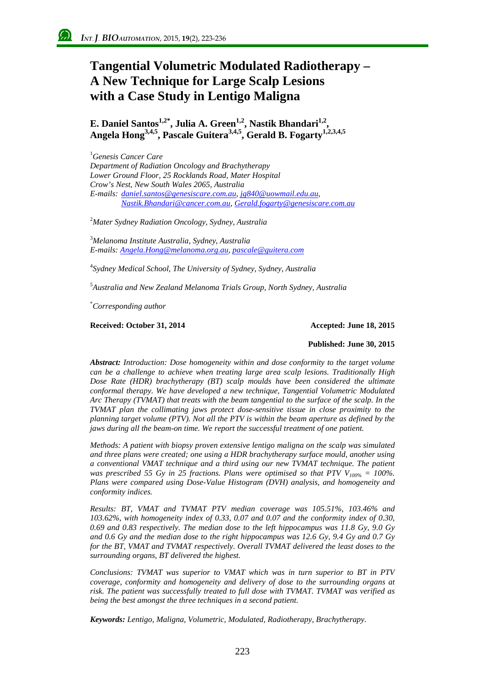# **Tangential Volumetric Modulated Radiotherapy – A New Technique for Large Scalp Lesions with a Case Study in Lentigo Maligna**

**E. Daniel Santos<sup>1,2\*</sup>, Julia A. Green<sup>1,2</sup>, Nastik Bhandari<sup>1,2</sup>, Angela Hong3,4,5, Pascale Guitera3,4,5, Gerald B. Fogarty1,2,3,4,5**

1 *Genesis Cancer Care Department of Radiation Oncology and Brachytherapy Lower Ground Floor, 25 Rocklands Road, Mater Hospital Crow's Nest, New South Wales 2065, Australia E-mails: [daniel.santos@genesiscare.com.au,](mailto:daniel.santos@genesiscare.com.au) jg840@uowmail.edu.au, Nastik.Bhandari@cancer.com.au, [Gerald.fogarty@genesiscare.com.au](mailto:Gerald.fogarty@genesiscare.com.au)*

2 *Mater Sydney Radiation Oncology, Sydney, Australia*

3 *Melanoma Institute Australia, Sydney, Australia E-mails: Angela.Hong@melanoma.org.au, pascale@guitera.com*

4 *Sydney Medical School, The University of Sydney, Sydney, Australia*

5 *Australia and New Zealand Melanoma Trials Group, North Sydney, Australia*

\* *Corresponding author*

**Received: October 31, 2014 Accepted: June 18, 2015**

#### **Published: June 30, 2015**

*Abstract: Introduction: Dose homogeneity within and dose conformity to the target volume can be a challenge to achieve when treating large area scalp lesions. Traditionally High Dose Rate (HDR) brachytherapy (BT) scalp moulds have been considered the ultimate conformal therapy. We have developed a new technique, Tangential Volumetric Modulated Arc Therapy (TVMAT) that treats with the beam tangential to the surface of the scalp. In the TVMAT plan the collimating jaws protect dose-sensitive tissue in close proximity to the planning target volume (PTV). Not all the PTV is within the beam aperture as defined by the jaws during all the beam-on time. We report the successful treatment of one patient.* 

*Methods: A patient with biopsy proven extensive lentigo maligna on the scalp was simulated and three plans were created; one using a HDR brachytherapy surface mould, another using a conventional VMAT technique and a third using our new TVMAT technique. The patient was prescribed 55 Gy in 25 fractions. Plans were optimised so that PTV*  $V_{100\%} = 100\%$ *. Plans were compared using Dose-Value Histogram (DVH) analysis, and homogeneity and conformity indices.*

*Results: BT, VMAT and TVMAT PTV median coverage was 105.51%, 103.46% and 103.62%, with homogeneity index of 0.33, 0.07 and 0.07 and the conformity index of 0.30, 0.69 and 0.83 respectively. The median dose to the left hippocampus was 11.8 Gy, 9.0 Gy and 0.6 Gy and the median dose to the right hippocampus was 12.6 Gy, 9.4 Gy and 0.7 Gy for the BT, VMAT and TVMAT respectively. Overall TVMAT delivered the least doses to the surrounding organs, BT delivered the highest.*

*Conclusions: TVMAT was superior to VMAT which was in turn superior to BT in PTV coverage, conformity and homogeneity and delivery of dose to the surrounding organs at risk. The patient was successfully treated to full dose with TVMAT. TVMAT was verified as being the best amongst the three techniques in a second patient.*

*Keywords: Lentigo, Maligna, Volumetric, Modulated, Radiotherapy, Brachytherapy.*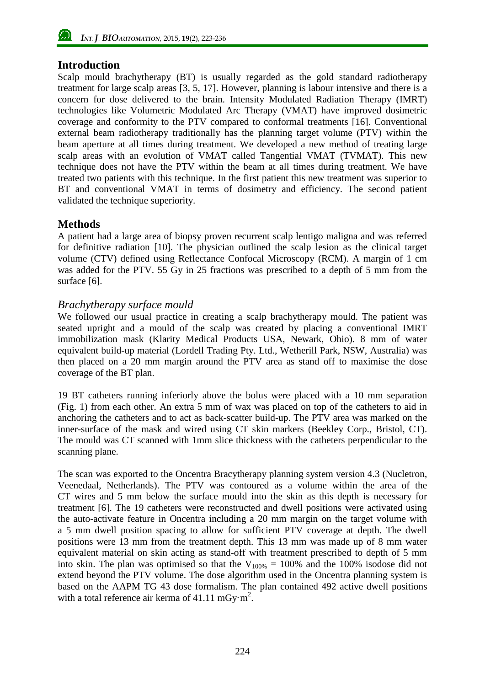### **Introduction**

Scalp mould brachytherapy (BT) is usually regarded as the gold standard radiotherapy treatment for large scalp areas [3, 5, 17]. However, planning is labour intensive and there is a concern for dose delivered to the brain. Intensity Modulated Radiation Therapy (IMRT) technologies like Volumetric Modulated Arc Therapy (VMAT) have improved dosimetric coverage and conformity to the PTV compared to conformal treatments [16]. Conventional external beam radiotherapy traditionally has the planning target volume (PTV) within the beam aperture at all times during treatment. We developed a new method of treating large scalp areas with an evolution of VMAT called Tangential VMAT (TVMAT). This new technique does not have the PTV within the beam at all times during treatment. We have treated two patients with this technique. In the first patient this new treatment was superior to BT and conventional VMAT in terms of dosimetry and efficiency. The second patient validated the technique superiority.

### **Methods**

A patient had a large area of biopsy proven recurrent scalp lentigo maligna and was referred for definitive radiation [10]. The physician outlined the scalp lesion as the clinical target volume (CTV) defined using Reflectance Confocal Microscopy (RCM). A margin of 1 cm was added for the PTV. 55 Gy in 25 fractions was prescribed to a depth of 5 mm from the surface [6].

### *Brachytherapy surface mould*

We followed our usual practice in creating a scalp brachytherapy mould. The patient was seated upright and a mould of the scalp was created by placing a conventional IMRT immobilization mask (Klarity Medical Products USA, Newark, Ohio). 8 mm of water equivalent build-up material (Lordell Trading Pty. Ltd., Wetherill Park, NSW, Australia) was then placed on a 20 mm margin around the PTV area as stand off to maximise the dose coverage of the BT plan.

19 BT catheters running inferiorly above the bolus were placed with a 10 mm separation [\(Fig.](#page-2-0) 1) from each other. An extra 5 mm of wax was placed on top of the catheters to aid in anchoring the catheters and to act as back-scatter build-up. The PTV area was marked on the inner-surface of the mask and wired using CT skin markers (Beekley Corp., Bristol, CT). The mould was CT scanned with 1mm slice thickness with the catheters perpendicular to the scanning plane.

The scan was exported to the Oncentra Bracytherapy planning system version 4.3 (Nucletron, Veenedaal, Netherlands). The PTV was contoured as a volume within the area of the CT wires and 5 mm below the surface mould into the skin as this depth is necessary for treatment [6]. The 19 catheters were reconstructed and dwell positions were activated using the auto-activate feature in Oncentra including a 20 mm margin on the target volume with a 5 mm dwell position spacing to allow for sufficient PTV coverage at depth. The dwell positions were 13 mm from the treatment depth. This 13 mm was made up of 8 mm water equivalent material on skin acting as stand-off with treatment prescribed to depth of 5 mm into skin. The plan was optimised so that the  $V_{100\%} = 100\%$  and the 100% isodose did not extend beyond the PTV volume. The dose algorithm used in the Oncentra planning system is based on the AAPM TG 43 dose formalism. The plan contained 492 active dwell positions with a total reference air kerma of  $41.11 \text{ mGy·m}^2$ .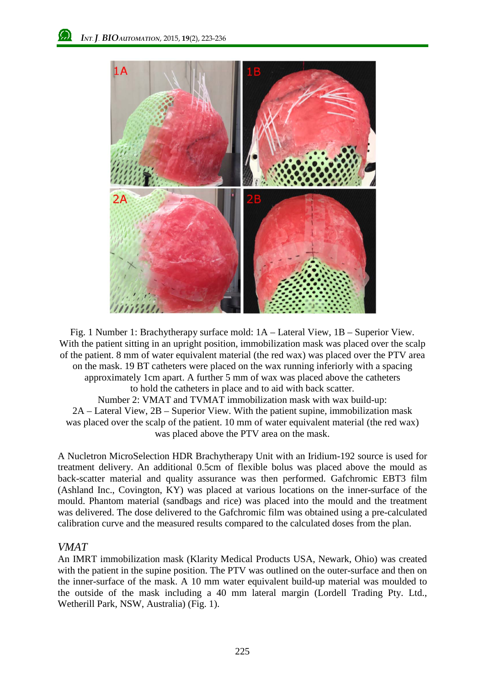

<span id="page-2-0"></span>Fig. 1 Number 1: Brachytherapy surface mold: 1A – Lateral View, 1B – Superior View. With the patient sitting in an upright position, immobilization mask was placed over the scalp of the patient. 8 mm of water equivalent material (the red wax) was placed over the PTV area on the mask. 19 BT catheters were placed on the wax running inferiorly with a spacing approximately 1cm apart. A further 5 mm of wax was placed above the catheters to hold the catheters in place and to aid with back scatter. Number 2: VMAT and TVMAT immobilization mask with wax build-up: 2A – Lateral View, 2B – Superior View. With the patient supine, immobilization mask was placed over the scalp of the patient. 10 mm of water equivalent material (the red wax) was placed above the PTV area on the mask.

A Nucletron MicroSelection HDR Brachytherapy Unit with an Iridium-192 source is used for treatment delivery. An additional 0.5cm of flexible bolus was placed above the mould as back-scatter material and quality assurance was then performed. Gafchromic EBT3 film (Ashland Inc., Covington, KY) was placed at various locations on the inner-surface of the mould. Phantom material (sandbags and rice) was placed into the mould and the treatment was delivered. The dose delivered to the Gafchromic film was obtained using a pre-calculated calibration curve and the measured results compared to the calculated doses from the plan.

#### *VMAT*

An IMRT immobilization mask (Klarity Medical Products USA, Newark, Ohio) was created with the patient in the supine position. The PTV was outlined on the outer-surface and then on the inner-surface of the mask. A 10 mm water equivalent build-up material was moulded to the outside of the mask including a 40 mm lateral margin (Lordell Trading Pty. Ltd., Wetherill Park, NSW, Australia) [\(Fig.](#page-2-0) 1).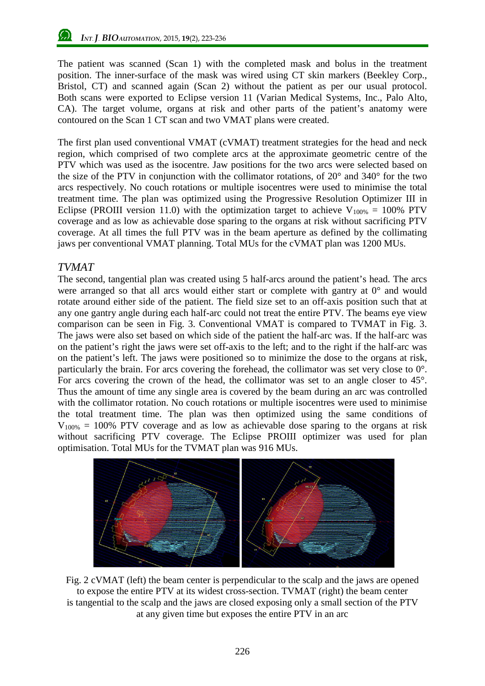The patient was scanned (Scan 1) with the completed mask and bolus in the treatment position. The inner-surface of the mask was wired using CT skin markers (Beekley Corp., Bristol, CT) and scanned again (Scan 2) without the patient as per our usual protocol. Both scans were exported to Eclipse version 11 (Varian Medical Systems, Inc., Palo Alto, CA). The target volume, organs at risk and other parts of the patient's anatomy were contoured on the Scan 1 CT scan and two VMAT plans were created.

The first plan used conventional VMAT (cVMAT) treatment strategies for the head and neck region, which comprised of two complete arcs at the approximate geometric centre of the PTV which was used as the isocentre. Jaw positions for the two arcs were selected based on the size of the PTV in conjunction with the collimator rotations, of 20° and 340° for the two arcs respectively. No couch rotations or multiple isocentres were used to minimise the total treatment time. The plan was optimized using the Progressive Resolution Optimizer III in Eclipse (PROIII version 11.0) with the optimization target to achieve  $V_{100\%} = 100\%$  PTV coverage and as low as achievable dose sparing to the organs at risk without sacrificing PTV coverage. At all times the full PTV was in the beam aperture as defined by the collimating jaws per conventional VMAT planning. Total MUs for the cVMAT plan was 1200 MUs.

### *TVMAT*

The second, tangential plan was created using 5 half-arcs around the patient's head. The arcs were arranged so that all arcs would either start or complete with gantry at 0° and would rotate around either side of the patient. The field size set to an off-axis position such that at any one gantry angle during each half-arc could not treat the entire PTV. The beams eye view comparison can be seen in [Fig.](#page-4-0) 3. Conventional VMAT is compared to TVMAT in Fig. 3. The jaws were also set based on which side of the patient the half-arc was. If the half-arc was on the patient's right the jaws were set off-axis to the left; and to the right if the half-arc was on the patient's left. The jaws were positioned so to minimize the dose to the organs at risk, particularly the brain. For arcs covering the forehead, the collimator was set very close to 0°. For arcs covering the crown of the head, the collimator was set to an angle closer to 45°. Thus the amount of time any single area is covered by the beam during an arc was controlled with the collimator rotation. No couch rotations or multiple isocentres were used to minimise the total treatment time. The plan was then optimized using the same conditions of  $V_{100\%}$  = 100% PTV coverage and as low as achievable dose sparing to the organs at risk without sacrificing PTV coverage. The Eclipse PROIII optimizer was used for plan optimisation. Total MUs for the TVMAT plan was 916 MUs.



Fig. 2 cVMAT (left) the beam center is perpendicular to the scalp and the jaws are opened to expose the entire PTV at its widest cross-section. TVMAT (right) the beam center is tangential to the scalp and the jaws are closed exposing only a small section of the PTV at any given time but exposes the entire PTV in an arc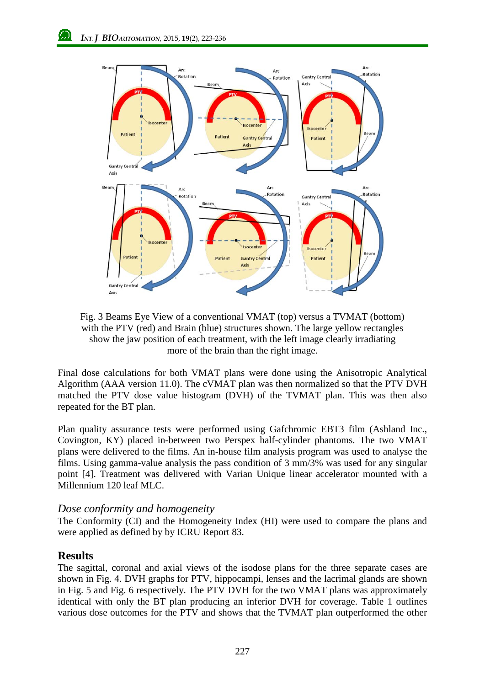

<span id="page-4-0"></span>Fig. 3 Beams Eye View of a conventional VMAT (top) versus a TVMAT (bottom) with the PTV (red) and Brain (blue) structures shown. The large yellow rectangles show the jaw position of each treatment, with the left image clearly irradiating more of the brain than the right image.

Final dose calculations for both VMAT plans were done using the Anisotropic Analytical Algorithm (AAA version 11.0). The cVMAT plan was then normalized so that the PTV DVH matched the PTV dose value histogram (DVH) of the TVMAT plan. This was then also repeated for the BT plan.

Plan quality assurance tests were performed using Gafchromic EBT3 film (Ashland Inc., Covington, KY) placed in-between two Perspex half-cylinder phantoms. The two VMAT plans were delivered to the films. An in-house film analysis program was used to analyse the films. Using gamma-value analysis the pass condition of 3 mm/3% was used for any singular point [4]. Treatment was delivered with Varian Unique linear accelerator mounted with a Millennium 120 leaf MLC.

#### *Dose conformity and homogeneity*

The Conformity (CI) and the Homogeneity Index (HI) were used to compare the plans and were applied as defined by by ICRU Report 83.

#### **Results**

The sagittal, coronal and axial views of the isodose plans for the three separate cases are shown in [Fig.](#page-5-0) 4. DVH graphs for PTV, hippocampi, lenses and the lacrimal glands are shown in Fig. 5 and [Fig.](#page-6-0) 6 respectively. The PTV DVH for the two VMAT plans was approximately identical with only the BT plan producing an inferior DVH for coverage. Table 1 outlines various dose outcomes for the PTV and shows that the TVMAT plan outperformed the other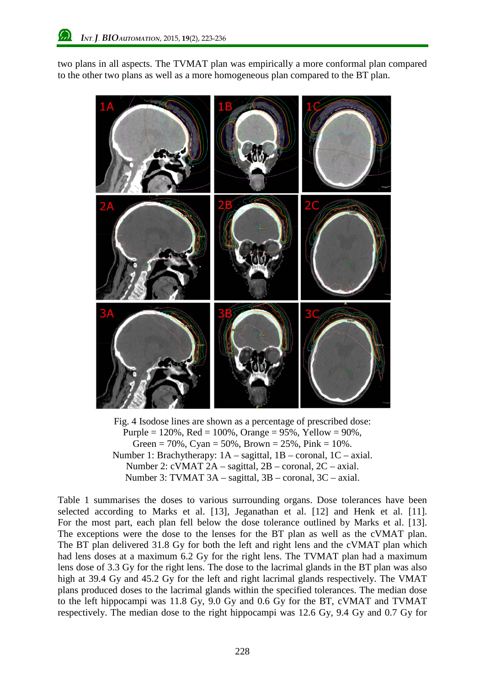two plans in all aspects. The TVMAT plan was empirically a more conformal plan compared to the other two plans as well as a more homogeneous plan compared to the BT plan.



<span id="page-5-0"></span>Fig. 4 Isodose lines are shown as a percentage of prescribed dose: Purple =  $120\%$ , Red =  $100\%$ , Orange =  $95\%$ , Yellow =  $90\%$ , Green = 70%, Cyan = 50%, Brown =  $25%$ , Pink =  $10%$ . Number 1: Brachytherapy: 1A – sagittal, 1B – coronal, 1C – axial. Number 2: cVMAT 2A – sagittal, 2B – coronal, 2C – axial. Number 3: TVMAT 3A – sagittal, 3B – coronal, 3C – axial.

Table 1 summarises the doses to various surrounding organs. Dose tolerances have been selected according to Marks et al. [13], Jeganathan et al. [12] and Henk et al. [11]. For the most part, each plan fell below the dose tolerance outlined by Marks et al. [13]. The exceptions were the dose to the lenses for the BT plan as well as the cVMAT plan. The BT plan delivered 31.8 Gy for both the left and right lens and the cVMAT plan which had lens doses at a maximum 6.2 Gy for the right lens. The TVMAT plan had a maximum lens dose of 3.3 Gy for the right lens. The dose to the lacrimal glands in the BT plan was also high at 39.4 Gy and 45.2 Gy for the left and right lacrimal glands respectively. The VMAT plans produced doses to the lacrimal glands within the specified tolerances. The median dose to the left hippocampi was 11.8 Gy, 9.0 Gy and 0.6 Gy for the BT, cVMAT and TVMAT respectively. The median dose to the right hippocampi was 12.6 Gy, 9.4 Gy and 0.7 Gy for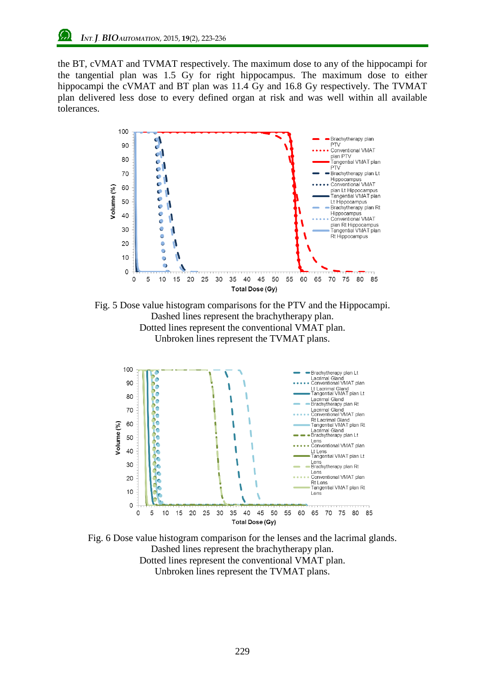the BT, cVMAT and TVMAT respectively. The maximum dose to any of the hippocampi for the tangential plan was 1.5 Gy for right hippocampus. The maximum dose to either hippocampi the cVMAT and BT plan was 11.4 Gy and 16.8 Gy respectively. The TVMAT plan delivered less dose to every defined organ at risk and was well within all available tolerances.



Fig. 5 Dose value histogram comparisons for the PTV and the Hippocampi. Dashed lines represent the brachytherapy plan. Dotted lines represent the conventional VMAT plan. Unbroken lines represent the TVMAT plans.



<span id="page-6-0"></span>Fig. 6 Dose value histogram comparison for the lenses and the lacrimal glands. Dashed lines represent the brachytherapy plan. Dotted lines represent the conventional VMAT plan. Unbroken lines represent the TVMAT plans.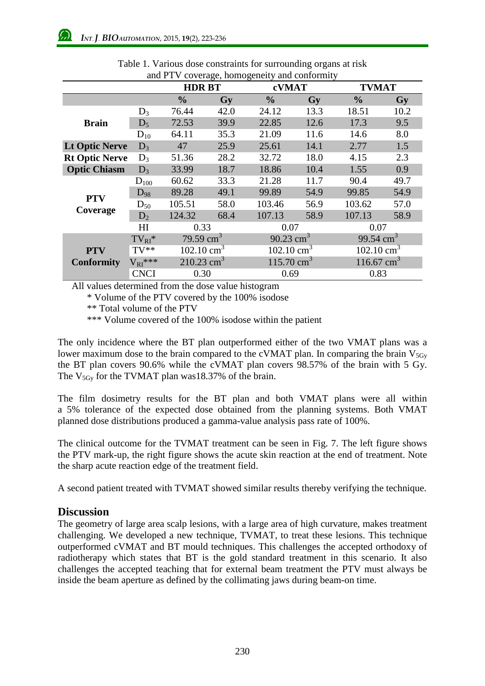| and I T V Coverage, homogeneity and combininty |                |                          |      |                       |      |                          |      |
|------------------------------------------------|----------------|--------------------------|------|-----------------------|------|--------------------------|------|
|                                                |                | <b>HDR BT</b>            |      | cVMAT                 |      | <b>TVMAT</b>             |      |
|                                                |                | $\frac{0}{0}$            | Gy   | $\frac{0}{0}$         | Gy   | $\frac{6}{9}$            | Gy   |
| <b>Brain</b>                                   | $D_3$          | 76.44                    | 42.0 | 24.12                 | 13.3 | 18.51                    | 10.2 |
|                                                | $D_5$          | 72.53                    | 39.9 | 22.85                 | 12.6 | 17.3                     | 9.5  |
|                                                | $D_{10}$       | 64.11                    | 35.3 | 21.09                 | 11.6 | 14.6                     | 8.0  |
| <b>Lt Optic Nerve</b>                          | $D_3$          | 47                       | 25.9 | 25.61                 | 14.1 | 2.77                     | 1.5  |
| <b>Rt Optic Nerve</b>                          | $D_3$          | 51.36                    | 28.2 | 32.72                 | 18.0 | 4.15                     | 2.3  |
| <b>Optic Chiasm</b>                            | $D_3$          | 33.99                    | 18.7 | 18.86                 | 10.4 | 1.55                     | 0.9  |
| <b>PTV</b><br>Coverage                         | $D_{100}$      | 60.62                    | 33.3 | 21.28                 | 11.7 | 90.4                     | 49.7 |
|                                                | $D_{98}$       | 89.28                    | 49.1 | 99.89                 | 54.9 | 99.85                    | 54.9 |
|                                                | $D_{50}$       | 105.51                   | 58.0 | 103.46                | 56.9 | 103.62                   | 57.0 |
|                                                | $D_2$          | 124.32                   | 68.4 | 107.13                | 58.9 | 107.13                   | 58.9 |
|                                                | H <sub>I</sub> | 0.33                     |      | 0.07                  |      | 0.07                     |      |
| <b>PTV</b><br><b>Conformity</b>                | $TV_{RI}$ *    | 79.59 $cm3$              |      | 90.23 $cm3$           |      | 99.54 $\text{cm}^3$      |      |
|                                                | $TV**$         | 102.10 $\text{cm}^3$     |      | 102.10 $\text{cm}^3$  |      | $102.10 \text{ cm}^3$    |      |
|                                                | $V_{RI}$ ***   | $210.23$ cm <sup>3</sup> |      | $115.70 \text{ cm}^3$ |      | $116.67$ cm <sup>3</sup> |      |
|                                                | <b>CNCI</b>    | 0.30                     |      | 0.69                  |      | 0.83                     |      |

Table 1. Various dose constraints for surrounding organs at risk and PTV coverage, homogeneity and conformity

All values determined from the dose value histogram

\* Volume of the PTV covered by the 100% isodose

\*\* Total volume of the PTV

\*\*\* Volume covered of the 100% isodose within the patient

The only incidence where the BT plan outperformed either of the two VMAT plans was a lower maximum dose to the brain compared to the cVMAT plan. In comparing the brain  $V_{5Gv}$ the BT plan covers 90.6% while the cVMAT plan covers 98.57% of the brain with 5 Gy. The  $V_{5Gy}$  for the TVMAT plan was18.37% of the brain.

The film dosimetry results for the BT plan and both VMAT plans were all within a 5% tolerance of the expected dose obtained from the planning systems. Both VMAT planned dose distributions produced a gamma-value analysis pass rate of 100%.

The clinical outcome for the TVMAT treatment can be seen in [Fig.](#page-8-0) 7. The left figure shows the PTV mark-up, the right figure shows the acute skin reaction at the end of treatment. Note the sharp acute reaction edge of the treatment field.

A second patient treated with TVMAT showed similar results thereby verifying the technique.

### **Discussion**

The geometry of large area scalp lesions, with a large area of high curvature, makes treatment challenging. We developed a new technique, TVMAT, to treat these lesions. This technique outperformed cVMAT and BT mould techniques. This challenges the accepted orthodoxy of radiotherapy which states that BT is the gold standard treatment in this scenario. It also challenges the accepted teaching that for external beam treatment the PTV must always be inside the beam aperture as defined by the collimating jaws during beam-on time.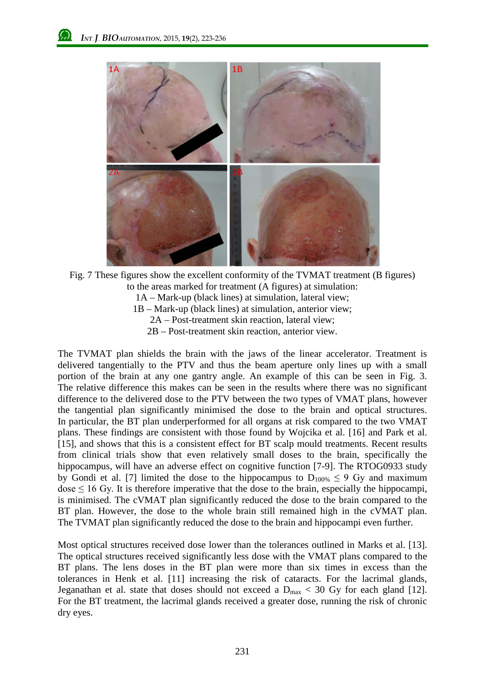

<span id="page-8-0"></span>Fig. 7 These figures show the excellent conformity of the TVMAT treatment (B figures) to the areas marked for treatment (A figures) at simulation: 1A – Mark-up (black lines) at simulation, lateral view; 1B – Mark-up (black lines) at simulation, anterior view; 2A – Post-treatment skin reaction, lateral view; 2B – Post-treatment skin reaction, anterior view.

The TVMAT plan shields the brain with the jaws of the linear accelerator. Treatment is delivered tangentially to the PTV and thus the beam aperture only lines up with a small portion of the brain at any one gantry angle. An example of this can be seen in [Fig.](#page-4-0) 3. The relative difference this makes can be seen in the results where there was no significant difference to the delivered dose to the PTV between the two types of VMAT plans, however the tangential plan significantly minimised the dose to the brain and optical structures. In particular, the BT plan underperformed for all organs at risk compared to the two VMAT plans. These findings are consistent with those found by Wojcika et al. [16] and Park et al. [15], and shows that this is a consistent effect for BT scalp mould treatments. Recent results from clinical trials show that even relatively small doses to the brain, specifically the hippocampus, will have an adverse effect on cognitive function [7-9]. The RTOG0933 study by Gondi et al. [7] limited the dose to the hippocampus to  $D_{100\%} \leq 9$  Gy and maximum dose  $\leq 16$  Gy. It is therefore imperative that the dose to the brain, especially the hippocampi, is minimised. The cVMAT plan significantly reduced the dose to the brain compared to the BT plan. However, the dose to the whole brain still remained high in the cVMAT plan. The TVMAT plan significantly reduced the dose to the brain and hippocampi even further.

Most optical structures received dose lower than the tolerances outlined in Marks et al. [13]. The optical structures received significantly less dose with the VMAT plans compared to the BT plans. The lens doses in the BT plan were more than six times in excess than the tolerances in Henk et al. [11] increasing the risk of cataracts. For the lacrimal glands, Jeganathan et al. state that doses should not exceed a  $D_{\text{max}} < 30$  Gy for each gland [12]. For the BT treatment, the lacrimal glands received a greater dose, running the risk of chronic dry eyes.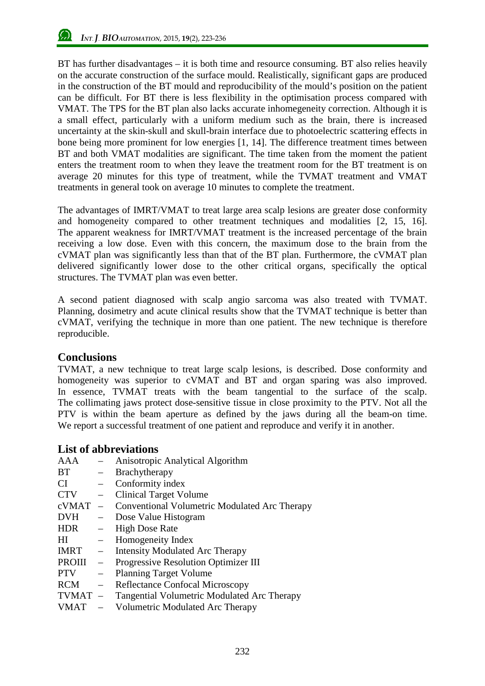BT has further disadvantages – it is both time and resource consuming. BT also relies heavily on the accurate construction of the surface mould. Realistically, significant gaps are produced in the construction of the BT mould and reproducibility of the mould's position on the patient can be difficult. For BT there is less flexibility in the optimisation process compared with VMAT. The TPS for the BT plan also lacks accurate inhomegeneity correction. Although it is a small effect, particularly with a uniform medium such as the brain, there is increased uncertainty at the skin-skull and skull-brain interface due to photoelectric scattering effects in bone being more prominent for low energies [1, 14]. The difference treatment times between BT and both VMAT modalities are significant. The time taken from the moment the patient enters the treatment room to when they leave the treatment room for the BT treatment is on average 20 minutes for this type of treatment, while the TVMAT treatment and VMAT treatments in general took on average 10 minutes to complete the treatment.

The advantages of IMRT/VMAT to treat large area scalp lesions are greater dose conformity and homogeneity compared to other treatment techniques and modalities [2, 15, 16]. The apparent weakness for IMRT/VMAT treatment is the increased percentage of the brain receiving a low dose. Even with this concern, the maximum dose to the brain from the cVMAT plan was significantly less than that of the BT plan. Furthermore, the cVMAT plan delivered significantly lower dose to the other critical organs, specifically the optical structures. The TVMAT plan was even better.

A second patient diagnosed with scalp angio sarcoma was also treated with TVMAT. Planning, dosimetry and acute clinical results show that the TVMAT technique is better than cVMAT, verifying the technique in more than one patient. The new technique is therefore reproducible.

### **Conclusions**

TVMAT, a new technique to treat large scalp lesions, is described. Dose conformity and homogeneity was superior to cVMAT and BT and organ sparing was also improved. In essence, TVMAT treats with the beam tangential to the surface of the scalp. The collimating jaws protect dose-sensitive tissue in close proximity to the PTV. Not all the PTV is within the beam aperture as defined by the jaws during all the beam-on time. We report a successful treatment of one patient and reproduce and verify it in another.

## **List of abbreviations**

| <b>AAA</b>   |                          | Anisotropic Analytical Algorithm              |
|--------------|--------------------------|-----------------------------------------------|
| <b>BT</b>    | $\overline{\phantom{0}}$ | Brachytherapy                                 |
| <b>CI</b>    | $\equiv$                 | Conformity index                              |
| <b>CTV</b>   | $-$                      | <b>Clinical Target Volume</b>                 |
| cVMAT        | $\equiv$                 | Conventional Volumetric Modulated Arc Therapy |
| <b>DVH</b>   |                          | - Dose Value Histogram                        |
| <b>HDR</b>   | $\overline{\phantom{0}}$ | <b>High Dose Rate</b>                         |
| HI           | $-$                      | Homogeneity Index                             |
| IMRT         | $-$                      | Intensity Modulated Arc Therapy               |
| PROIII       | $\overline{\phantom{m}}$ | Progressive Resolution Optimizer III          |
| <b>PTV</b>   | $-$                      | <b>Planning Target Volume</b>                 |
| <b>RCM</b>   | $\frac{1}{2}$            | <b>Reflectance Confocal Microscopy</b>        |
| <b>TVMAT</b> |                          | - Tangential Volumetric Modulated Arc Therapy |
| <b>VMAT</b>  |                          | Volumetric Modulated Arc Therapy              |
|              |                          |                                               |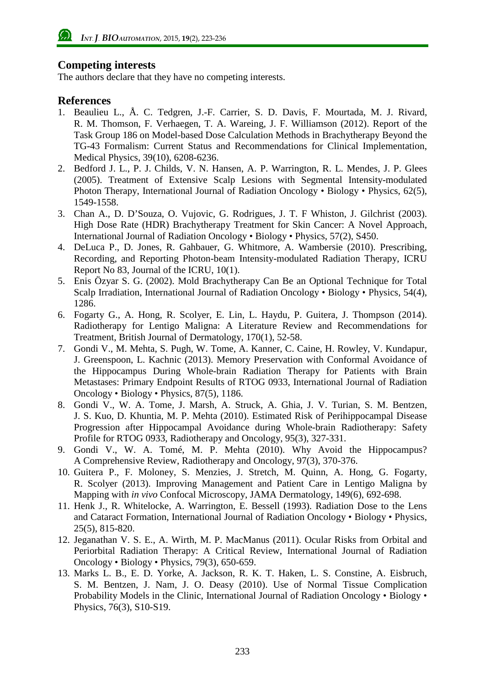### **Competing interests**

The authors declare that they have no competing interests.

#### **References**

- 1. Beaulieu L., Å. C. Tedgren, J.-F. Carrier, S. D. Davis, F. Mourtada, M. J. Rivard, R. M. Thomson, F. Verhaegen, T. A. Wareing, J. F. Williamson (2012). Report of the Task Group 186 on Model-based Dose Calculation Methods in Brachytherapy Beyond the TG-43 Formalism: Current Status and Recommendations for Clinical Implementation, Medical Physics, 39(10), 6208-6236.
- 2. Bedford J. L., P. J. Childs, V. N. Hansen, A. P. Warrington, R. L. Mendes, J. P. Glees (2005). Treatment of Extensive Scalp Lesions with Segmental Intensity-modulated Photon Therapy, International Journal of Radiation Oncology • Biology • Physics, 62(5), 1549-1558.
- 3. Chan A., D. D'Souza, O. Vujovic, G. Rodrigues, J. T. F Whiston, J. Gilchrist (2003). High Dose Rate (HDR) Brachytherapy Treatment for Skin Cancer: A Novel Approach, International Journal of Radiation Oncology • Biology • Physics, 57(2), S450.
- 4. DeLuca P., D. Jones, R. Gahbauer, G. Whitmore, A. Wambersie (2010). Prescribing, Recording, and Reporting Photon-beam Intensity-modulated Radiation Therapy, ICRU Report No 83, Journal of the ICRU, 10(1).
- 5. Enis Özyar S. G. (2002). Mold Brachytherapy Can Be an Optional Technique for Total Scalp Irradiation, International Journal of Radiation Oncology • Biology • Physics, 54(4), 1286.
- 6. Fogarty G., A. Hong, R. Scolyer, E. Lin, L. Haydu, P. Guitera, J. Thompson (2014). Radiotherapy for Lentigo Maligna: A Literature Review and Recommendations for Treatment, British Journal of Dermatology, 170(1), 52-58.
- 7. Gondi V., M. Mehta, S. Pugh, W. Tome, A. Kanner, C. Caine, H. Rowley, V. Kundapur, J. Greenspoon, L. Kachnic (2013). Memory Preservation with Conformal Avoidance of the Hippocampus During Whole-brain Radiation Therapy for Patients with Brain Metastases: Primary Endpoint Results of RTOG 0933, International Journal of Radiation Oncology • Biology • Physics, 87(5), 1186.
- 8. Gondi V., W. A. Tome, J. Marsh, A. Struck, A. Ghia, J. V. Turian, S. M. Bentzen, J. S. Kuo, D. Khuntia, M. P. Mehta (2010). Estimated Risk of Perihippocampal Disease Progression after Hippocampal Avoidance during Whole-brain Radiotherapy: Safety Profile for RTOG 0933, Radiotherapy and Oncology, 95(3), 327-331.
- 9. Gondi V., W. A. Tomé, M. P. Mehta (2010). Why Avoid the Hippocampus? A Comprehensive Review, Radiotherapy and Oncology, 97(3), 370-376.
- 10. Guitera P., F. Moloney, S. Menzies, J. Stretch, M. Quinn, A. Hong, G. Fogarty, R. Scolyer (2013). Improving Management and Patient Care in Lentigo Maligna by Mapping with *in vivo* Confocal Microscopy, JAMA Dermatology, 149(6), 692-698.
- 11. Henk J., R. Whitelocke, A. Warrington, E. Bessell (1993). Radiation Dose to the Lens and Cataract Formation, International Journal of Radiation Oncology • Biology • Physics, 25(5), 815-820.
- 12. Jeganathan V. S. E., A. Wirth, M. P. MacManus (2011). Ocular Risks from Orbital and Periorbital Radiation Therapy: A Critical Review, International Journal of Radiation Oncology • Biology • Physics, 79(3), 650-659.
- 13. Marks L. B., E. D. Yorke, A. Jackson, R. K. T. Haken, L. S. Constine, A. Eisbruch, S. M. Bentzen, J. Nam, J. O. Deasy (2010). Use of Normal Tissue Complication Probability Models in the Clinic, International Journal of Radiation Oncology • Biology • Physics, 76(3), S10-S19.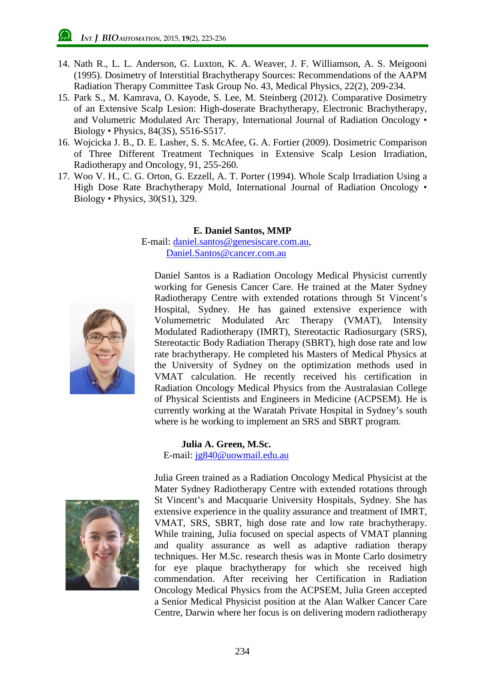- 14. Nath R., L. L. Anderson, G. Luxton, K. A. Weaver, J. F. Williamson, A. S. Meigooni (1995). Dosimetry of Interstitial Brachytherapy Sources: Recommendations of the AAPM Radiation Therapy Committee Task Group No. 43, Medical Physics, 22(2), 209-234.
- 15. Park S., M. Kamrava, O. Kayode, S. Lee, M. Steinberg (2012). Comparative Dosimetry of an Extensive Scalp Lesion: High-doserate Brachytherapy, Electronic Brachytherapy, and Volumetric Modulated Arc Therapy, International Journal of Radiation Oncology • Biology • Physics, 84(3S), S516-S517.
- 16. Wojcicka J. B., D. E. Lasher, S. S. McAfee, G. A. Fortier (2009). Dosimetric Comparison of Three Different Treatment Techniques in Extensive Scalp Lesion Irradiation, Radiotherapy and Oncology, 91, 255-260.
- 17. Woo V. H., C. G. Orton, G. Ezzell, A. T. Porter (1994). Whole Scalp Irradiation Using a High Dose Rate Brachytherapy Mold, International Journal of Radiation Oncology • Biology • Physics, 30(S1), 329.

#### **E. Daniel Santos, MMP**

E-mail: [daniel.santos@genesiscare.com.au,](mailto:daniel.santos@genesiscare.com.au) Daniel.Santos@cancer.com.au



Daniel Santos is a Radiation Oncology Medical Physicist currently working for Genesis Cancer Care. He trained at the Mater Sydney Radiotherapy Centre with extended rotations through St Vincent's Hospital, Sydney. He has gained extensive experience with Volumemetric Modulated Arc Therapy (VMAT), Intensity Modulated Radiotherapy (IMRT), Stereotactic Radiosurgary (SRS), Stereotactic Body Radiation Therapy (SBRT), high dose rate and low rate brachytherapy. He completed his Masters of Medical Physics at the University of Sydney on the optimization methods used in VMAT calculation. He recently received his certification in Radiation Oncology Medical Physics from the Australasian College of Physical Scientists and Engineers in Medicine (ACPSEM). He is currently working at the Waratah Private Hospital in Sydney's south where is he working to implement an SRS and SBRT program.

#### **Julia A. Green, M.Sc.** E-mail: jg840@uowmail.edu.au



Julia Green trained as a Radiation Oncology Medical Physicist at the Mater Sydney Radiotherapy Centre with extended rotations through St Vincent's and Macquarie University Hospitals, Sydney. She has extensive experience in the quality assurance and treatment of IMRT, VMAT, SRS, SBRT, high dose rate and low rate brachytherapy. While training, Julia focused on special aspects of VMAT planning and quality assurance as well as adaptive radiation therapy techniques. Her M.Sc. research thesis was in Monte Carlo dosimetry for eye plaque brachytherapy for which she received high commendation. After receiving her Certification in Radiation Oncology Medical Physics from the ACPSEM, Julia Green accepted a Senior Medical Physicist position at the Alan Walker Cancer Care Centre, Darwin where her focus is on delivering modern radiotherapy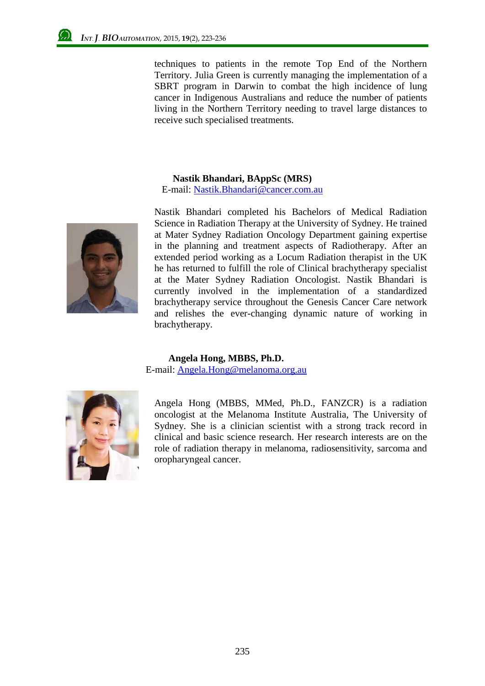techniques to patients in the remote Top End of the Northern Territory. Julia Green is currently managing the implementation of a SBRT program in Darwin to combat the high incidence of lung cancer in Indigenous Australians and reduce the number of patients living in the Northern Territory needing to travel large distances to receive such specialised treatments.

#### **Nastik Bhandari, BAppSc (MRS)**

E-mail: Nastik.Bhandari@cancer.com.au



Nastik Bhandari completed his Bachelors of Medical Radiation Science in Radiation Therapy at the University of Sydney. He trained at Mater Sydney Radiation Oncology Department gaining expertise in the planning and treatment aspects of Radiotherapy. After an extended period working as a Locum Radiation therapist in the UK he has returned to fulfill the role of Clinical brachytherapy specialist at the Mater Sydney Radiation Oncologist. Nastik Bhandari is currently involved in the implementation of a standardized brachytherapy service throughout the Genesis Cancer Care network and relishes the ever-changing dynamic nature of working in brachytherapy.

#### **Angela Hong, MBBS, Ph.D.**

E-mail: Angela.Hong@melanoma.org.au



Angela Hong (MBBS, MMed, Ph.D., FANZCR) is a radiation oncologist at the Melanoma Institute Australia, The University of Sydney. She is a clinician scientist with a strong track record in clinical and basic science research. Her research interests are on the role of radiation therapy in melanoma, radiosensitivity, sarcoma and oropharyngeal cancer.